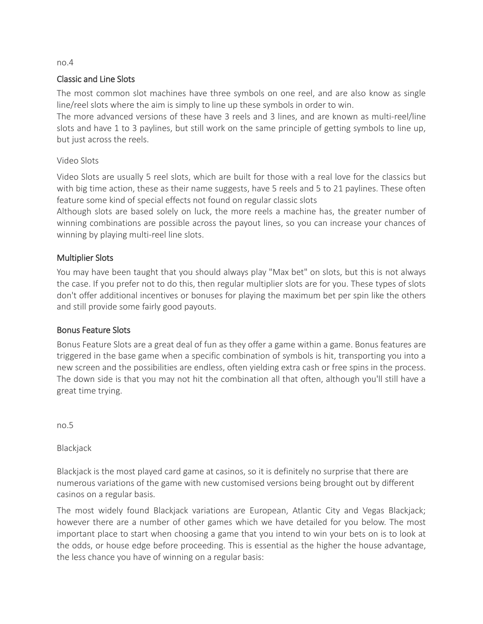# Classic and Line Slots

The most common slot machines have three symbols on one reel, and are also know as single line/reel slots where the aim is simply to line up these symbols in order to win.

The more advanced versions of these have 3 reels and 3 lines, and are known as multi-reel/line slots and have 1 to 3 paylines, but still work on the same principle of getting symbols to line up, but just across the reels.

## Video Slots

Video Slots are usually 5 reel slots, which are built for those with a real love for the classics but with big time action, these as their name suggests, have 5 reels and 5 to 21 paylines. These often feature some kind of special effects not found on regular classic slots

Although slots are based solely on luck, the more reels a machine has, the greater number of winning combinations are possible across the payout lines, so you can increase your chances of winning by playing multi-reel line slots.

# Multiplier Slots

You may have been taught that you should always play "Max bet" on slots, but this is not always the case. If you prefer not to do this, then regular multiplier slots are for you. These types of slots don't offer additional incentives or bonuses for playing the maximum bet per spin like the others and still provide some fairly good payouts.

## Bonus Feature Slots

Bonus Feature Slots are a great deal of fun as they offer a game within a game. Bonus features are triggered in the base game when a specific combination of symbols is hit, transporting you into a new screen and the possibilities are endless, often yielding extra cash or free spins in the process. The down side is that you may not hit the combination all that often, although you'll still have a great time trying.

no.5

Blackjack

Blackjack is the most played card game at casinos, so it is definitely no surprise that there are numerous variations of the game with new customised versions being brought out by different casinos on a regular basis.

The most widely found Blackjack variations are European, Atlantic City and Vegas Blackjack; however there are a number of other games which we have detailed for you below. The most important place to start when choosing a game that you intend to win your bets on is to look at the odds, or house edge before proceeding. This is essential as the higher the house advantage, the less chance you have of winning on a regular basis:

#### no.4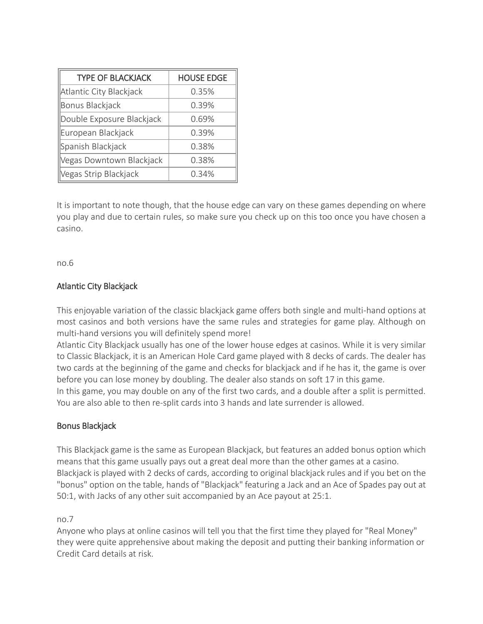| <b>TYPE OF BLACKJACK</b>  | <b>HOUSE EDGE</b> |
|---------------------------|-------------------|
| Atlantic City Blackjack   | 0.35%             |
| Bonus Blackjack           | 0.39%             |
| Double Exposure Blackjack | 0.69%             |
| European Blackjack        | 0.39%             |
| Spanish Blackjack         | 0.38%             |
| Vegas Downtown Blackjack  | 0.38%             |
| Vegas Strip Blackjack     | 0.34%             |
|                           |                   |

It is important to note though, that the house edge can vary on these games depending on where you play and due to certain rules, so make sure you check up on this too once you have chosen a casino.

no.6

# Atlantic City Blackjack

This enjoyable variation of the classic blackjack game offers both single and multi-hand options at most casinos and both versions have the same rules and strategies for game play. Although on multi-hand versions you will definitely spend more!

Atlantic City Blackjack usually has one of the lower house edges at casinos. While it is very similar to Classic Blackjack, it is an American Hole Card game played with 8 decks of cards. The dealer has two cards at the beginning of the game and checks for blackjack and if he has it, the game is over before you can lose money by doubling. The dealer also stands on soft 17 in this game.

In this game, you may double on any of the first two cards, and a double after a split is permitted. You are also able to then re-split cards into 3 hands and late surrender is allowed.

## Bonus Blackjack

This Blackjack game is the same as European Blackjack, but features an added bonus option which means that this game usually pays out a great deal more than the other games at a casino. Blackjack is played with 2 decks of cards, according to original blackjack rules and if you bet on the "bonus" option on the table, hands of "Blackjack" featuring a Jack and an Ace of Spades pay out at 50:1, with Jacks of any other suit accompanied by an Ace payout at 25:1.

### no.7

Anyone who plays at online casinos will tell you that the first time they played for "Real Money" they were quite apprehensive about making the deposit and putting their banking information or Credit Card details at risk.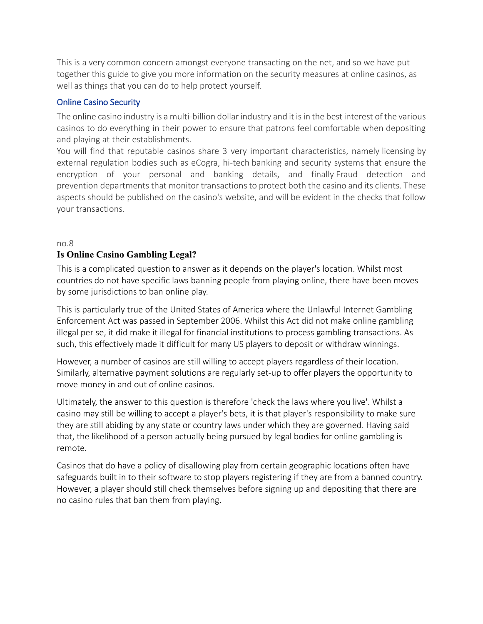This is a very common concern amongst everyone transacting on the net, and so we have put together this guide to give you more information on the security measures at online casinos, as well as things that you can do to help protect yourself.

### Online Casino Security

The online casino industry is a multi-billion dollar industry and it is in the best interest of the various casinos to do everything in their power to ensure that patrons feel comfortable when depositing and playing at their establishments.

You will find that reputable casinos share 3 very important characteristics, namely licensing by external regulation bodies such as eCogra, hi-tech banking and security systems that ensure the encryption of your personal and banking details, and finally Fraud detection and prevention departments that monitor transactions to protect both the casino and its clients. These aspects should be published on the casino's website, and will be evident in the checks that follow your transactions.

#### no.8

## **Is Online Casino Gambling Legal?**

This is a complicated question to answer as it depends on the player's location. Whilst most countries do not have specific laws banning people from playing online, there have been moves by some jurisdictions to ban online play.

This is particularly true of the United States of America where the Unlawful Internet Gambling Enforcement Act was passed in September 2006. Whilst this Act did not make online gambling illegal per se, it did make it illegal for financial institutions to process gambling transactions. As such, this effectively made it difficult for many US players to deposit or withdraw winnings.

However, a number of casinos are still willing to accept players regardless of their location. Similarly, alternative payment solutions are regularly set-up to offer players the opportunity to move money in and out of online casinos.

Ultimately, the answer to this question is therefore 'check the laws where you live'. Whilst a casino may still be willing to accept a player's bets, it is that player's responsibility to make sure they are still abiding by any state or country laws under which they are governed. Having said that, the likelihood of a person actually being pursued by legal bodies for online gambling is remote.

Casinos that do have a policy of disallowing play from certain geographic locations often have safeguards built in to their software to stop players registering if they are from a banned country. However, a player should still check themselves before signing up and depositing that there are no casino rules that ban them from playing.